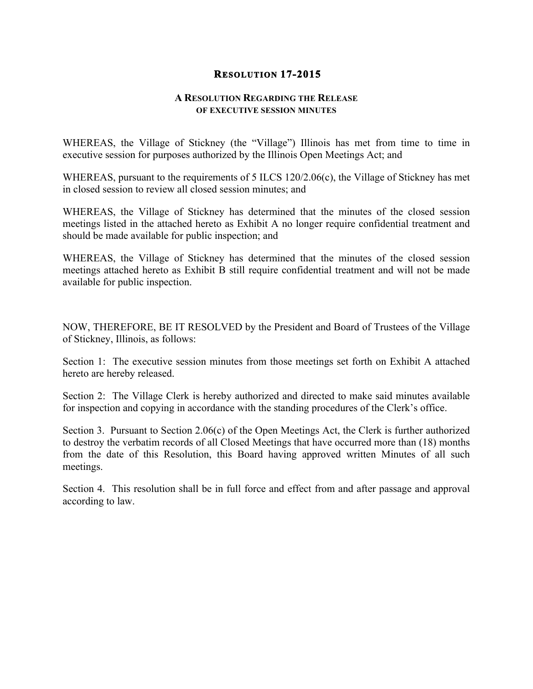## **RESOLUTION 17-2015**

## **A RESOLUTION REGARDING THE RELEASE OF EXECUTIVE SESSION MINUTES**

WHEREAS, the Village of Stickney (the "Village") Illinois has met from time to time in executive session for purposes authorized by the Illinois Open Meetings Act; and

WHEREAS, pursuant to the requirements of 5 ILCS 120/2.06(c), the Village of Stickney has met in closed session to review all closed session minutes; and

WHEREAS, the Village of Stickney has determined that the minutes of the closed session meetings listed in the attached hereto as Exhibit A no longer require confidential treatment and should be made available for public inspection; and

WHEREAS, the Village of Stickney has determined that the minutes of the closed session meetings attached hereto as Exhibit B still require confidential treatment and will not be made available for public inspection.

NOW, THEREFORE, BE IT RESOLVED by the President and Board of Trustees of the Village of Stickney, Illinois, as follows:

Section 1: The executive session minutes from those meetings set forth on Exhibit A attached hereto are hereby released.

Section 2: The Village Clerk is hereby authorized and directed to make said minutes available for inspection and copying in accordance with the standing procedures of the Clerk's office.

Section 3. Pursuant to Section 2.06(c) of the Open Meetings Act, the Clerk is further authorized to destroy the verbatim records of all Closed Meetings that have occurred more than (18) months from the date of this Resolution, this Board having approved written Minutes of all such meetings.

Section 4. This resolution shall be in full force and effect from and after passage and approval according to law.